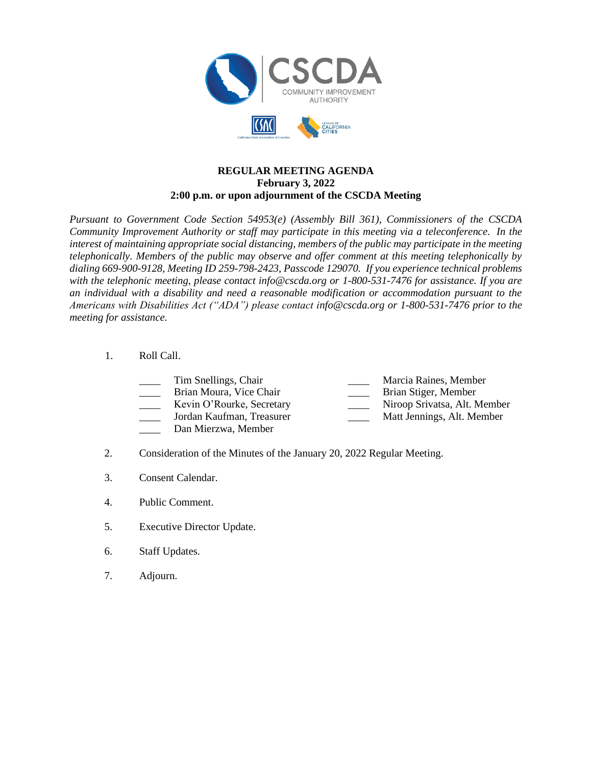

## **REGULAR MEETING AGENDA February 3, 2022 2:00 p.m. or upon adjournment of the CSCDA Meeting**

*Pursuant to Government Code Section 54953(e) (Assembly Bill 361), Commissioners of the CSCDA Community Improvement Authority or staff may participate in this meeting via a teleconference. In the interest of maintaining appropriate social distancing, members of the public may participate in the meeting telephonically. Members of the public may observe and offer comment at this meeting telephonically by dialing 669-900-9128, Meeting ID 259-798-2423, Passcode 129070. If you experience technical problems with the telephonic meeting, please contact info@cscda.org or 1-800-531-7476 for assistance. If you are an individual with a disability and need a reasonable modification or accommodation pursuant to the Americans with Disabilities Act ("ADA") please contact info@cscda.org or 1-800-531-7476 prior to the meeting for assistance.*

## 1. Roll Call.

| Tim Snellings, Chair      | Marcia Raines, Member        |
|---------------------------|------------------------------|
| Brian Moura, Vice Chair   | Brian Stiger, Member         |
| Kevin O'Rourke, Secretary | Niroop Srivatsa, Alt. Member |
| Jordan Kaufman, Treasurer | Matt Jennings, Alt. Member   |
|                           |                              |

- Dan Mierzwa, Member
- 2. Consideration of the Minutes of the January 20, 2022 Regular Meeting.
- 3. Consent Calendar.
- 4. Public Comment.
- 5. Executive Director Update.
- 6. Staff Updates.
- 7. Adjourn.